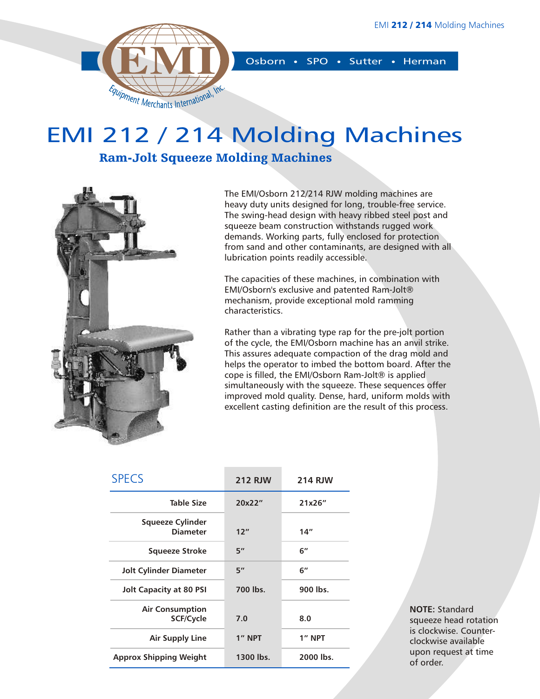

Osborn • SPO • Sutter • Herman

## EMI 212 / 214 Molding Machines

### Ram-Jolt Squeeze Molding Machines



The EMI/Osborn 212/214 RJW molding machines are heavy duty units designed for long, trouble-free service. The swing-head design with heavy ribbed steel post and squeeze beam construction withstands rugged work demands. Working parts, fully enclosed for protection from sand and other contaminants, are designed with all lubrication points readily accessible.

The capacities of these machines, in combination with EMI/Osborn's exclusive and patented Ram-Jolt® mechanism, provide exceptional mold ramming characteristics.

Rather than a vibrating type rap for the pre-jolt portion of the cycle, the EMI/Osborn machine has an anvil strike. This assures adequate compaction of the drag mold and helps the operator to imbed the bottom board. After the cope is filled, the EMI/Osborn Ram-Jolt® is applied simultaneously with the squeeze. These sequences offer improved mold quality. Dense, hard, uniform molds with excellent casting definition are the result of this process.

| <b>SPECS</b>                        | <b>212 RJW</b> | <b>214 RJW</b> |  |  |  |  |
|-------------------------------------|----------------|----------------|--|--|--|--|
| <b>Table Size</b>                   | 20x22"         | 21x26"         |  |  |  |  |
| Squeeze Cylinder<br><b>Diameter</b> | 12"            | 14"            |  |  |  |  |
| Squeeze Stroke                      | 5"             | 6"             |  |  |  |  |
| Jolt Cylinder Diameter              | 5''            | 6"             |  |  |  |  |
| Jolt Capacity at 80 PSI             | 700 lbs.       | 900 lbs.       |  |  |  |  |
| <b>Air Consumption</b><br>SCF/Cycle | 7.0            | 8.0            |  |  |  |  |
| Air Supply Line                     | 1" NPT         | 1" NPT         |  |  |  |  |
| <b>Approx Shipping Weight</b>       | 1300 lbs.      | 2000 lbs.      |  |  |  |  |

**NOTE:** Standard squeeze head rotation is clockwise. Counterclockwise available upon request at time of order.